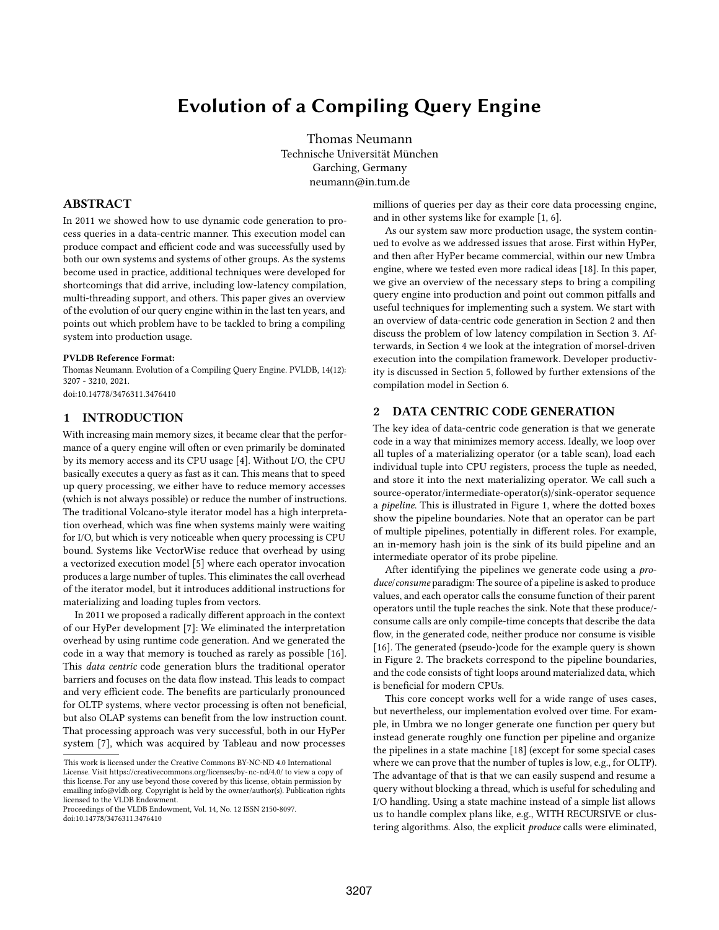# Evolution of a Compiling Query Engine

Thomas Neumann Technische Universität München Garching, Germany neumann@in.tum.de

#### ABSTRACT

In 2011 we showed how to use dynamic code generation to process queries in a data-centric manner. This execution model can produce compact and efficient code and was successfully used by both our own systems and systems of other groups. As the systems become used in practice, additional techniques were developed for shortcomings that did arrive, including low-latency compilation, multi-threading support, and others. This paper gives an overview of the evolution of our query engine within in the last ten years, and points out which problem have to be tackled to bring a compiling system into production usage.

#### PVLDB Reference Format:

Thomas Neumann. Evolution of a Compiling Query Engine. PVLDB, 14(12): 3207 - 3210, 2021.

[doi:10.14778/3476311.3476410](https://doi.org/10.14778/3476311.3476410)

# 1 INTRODUCTION

With increasing main memory sizes, it became clear that the performance of a query engine will often or even primarily be dominated by its memory access and its CPU usage [4]. Without I/O, the CPU basically executes a query as fast as it can. This means that to speed up query processing, we either have to reduce memory accesses (which is not always possible) or reduce the number of instructions. The traditional Volcano-style iterator model has a high interpretation overhead, which was fine when systems mainly were waiting for I/O, but which is very noticeable when query processing is CPU bound. Systems like VectorWise reduce that overhead by using a vectorized execution model [5] where each operator invocation produces a large number of tuples. This eliminates the call overhead of the iterator model, but it introduces additional instructions for materializing and loading tuples from vectors.

In 2011 we proposed a radically different approach in the context of our HyPer development [7]: We eliminated the interpretation overhead by using runtime code generation. And we generated the code in a way that memory is touched as rarely as possible [16]. This data centric code generation blurs the traditional operator barriers and focuses on the data flow instead. This leads to compact and very efficient code. The benefits are particularly pronounced for OLTP systems, where vector processing is often not beneficial, but also OLAP systems can benefit from the low instruction count. That processing approach was very successful, both in our HyPer system [7], which was acquired by Tableau and now processes

millions of queries per day as their core data processing engine, and in other systems like for example [1, 6].

As our system saw more production usage, the system continued to evolve as we addressed issues that arose. First within HyPer, and then after HyPer became commercial, within our new Umbra engine, where we tested even more radical ideas [18]. In this paper, we give an overview of the necessary steps to bring a compiling query engine into production and point out common pitfalls and useful techniques for implementing such a system. We start with an overview of data-centric code generation in Section 2 and then discuss the problem of low latency compilation in Section 3. Afterwards, in Section 4 we look at the integration of morsel-driven execution into the compilation framework. Developer productivity is discussed in Section 5, followed by further extensions of the compilation model in Section 6.

# 2 DATA CENTRIC CODE GENERATION

The key idea of data-centric code generation is that we generate code in a way that minimizes memory access. Ideally, we loop over all tuples of a materializing operator (or a table scan), load each individual tuple into CPU registers, process the tuple as needed, and store it into the next materializing operator. We call such a source-operator/intermediate-operator(s)/sink-operator sequence a pipeline. This is illustrated in Figure 1, where the dotted boxes show the pipeline boundaries. Note that an operator can be part of multiple pipelines, potentially in different roles. For example, an in-memory hash join is the sink of its build pipeline and an intermediate operator of its probe pipeline.

After identifying the pipelines we generate code using a *pro*duce/consume paradigm: The source of a pipeline is asked to produce values, and each operator calls the consume function of their parent operators until the tuple reaches the sink. Note that these produce/ consume calls are only compile-time concepts that describe the data flow, in the generated code, neither produce nor consume is visible [16]. The generated (pseudo-)code for the example query is shown in Figure 2. The brackets correspond to the pipeline boundaries, and the code consists of tight loops around materialized data, which is beneficial for modern CPUs.

This core concept works well for a wide range of uses cases, but nevertheless, our implementation evolved over time. For example, in Umbra we no longer generate one function per query but instead generate roughly one function per pipeline and organize the pipelines in a state machine [18] (except for some special cases where we can prove that the number of tuples is low, e.g., for OLTP). The advantage of that is that we can easily suspend and resume a query without blocking a thread, which is useful for scheduling and I/O handling. Using a state machine instead of a simple list allows us to handle complex plans like, e.g., WITH RECURSIVE or clustering algorithms. Also, the explicit produce calls were eliminated,

This work is licensed under the Creative Commons BY-NC-ND 4.0 International License. Visit<https://creativecommons.org/licenses/by-nc-nd/4.0/> to view a copy of this license. For any use beyond those covered by this license, obtain permission by emailing [info@vldb.org.](mailto:info@vldb.org) Copyright is held by the owner/author(s). Publication rights licensed to the VLDB Endowment.

Proceedings of the VLDB Endowment, Vol. 14, No. 12 ISSN 2150-8097. [doi:10.14778/3476311.3476410](https://doi.org/10.14778/3476311.3476410)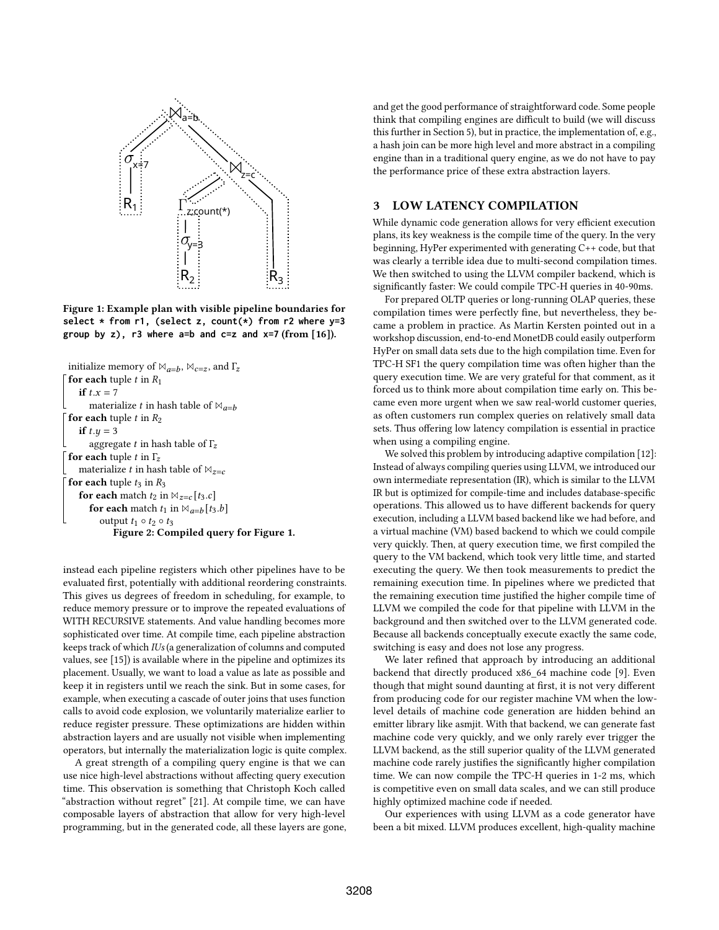

Figure 1: Example plan with visible pipeline boundaries for **select \* from r1, (select z, count(\*) from r2 where y=3** group by  $z$ ),  $r3$  where  $a=b$  and  $c=z$  and  $x=7$  (from [16]).

```
initialize memory of \mathbb{M}_{a=b}, \mathbb{M}_{c=z}, and \Gamma_zfor each tuple t in R_1if t.x = 7materialize t in hash table of \mathbb{N}_{a=b}for each tuple t in R_2if t.y = 3aggregate t in hash table of \Gamma<sub>z</sub>
for each tuple t in \Gamma<sub>z</sub>
   materialize t in hash table of \mathbb{M}_{z=c}for each tuple t_3 in R_3for each match t_2 in \mathbb{N}_{z=c} [t_3.c]
       for each match t_1 in \boxtimes_{a=b} [t_3.b]output t_1 \circ t_2 \circ t_3Figure 2: Compiled query for Figure 1.
```
instead each pipeline registers which other pipelines have to be evaluated first, potentially with additional reordering constraints. This gives us degrees of freedom in scheduling, for example, to reduce memory pressure or to improve the repeated evaluations of WITH RECURSIVE statements. And value handling becomes more sophisticated over time. At compile time, each pipeline abstraction keeps track of which IUs (a generalization of columns and computed values, see [15]) is available where in the pipeline and optimizes its placement. Usually, we want to load a value as late as possible and keep it in registers until we reach the sink. But in some cases, for example, when executing a cascade of outer joins that uses function calls to avoid code explosion, we voluntarily materialize earlier to reduce register pressure. These optimizations are hidden within abstraction layers and are usually not visible when implementing operators, but internally the materialization logic is quite complex.

A great strength of a compiling query engine is that we can use nice high-level abstractions without affecting query execution time. This observation is something that Christoph Koch called "abstraction without regret" [21]. At compile time, we can have composable layers of abstraction that allow for very high-level programming, but in the generated code, all these layers are gone, and get the good performance of straightforward code. Some people think that compiling engines are difficult to build (we will discuss this further in Section 5), but in practice, the implementation of, e.g., a hash join can be more high level and more abstract in a compiling engine than in a traditional query engine, as we do not have to pay the performance price of these extra abstraction layers.

# 3 LOW LATENCY COMPILATION

While dynamic code generation allows for very efficient execution plans, its key weakness is the compile time of the query. In the very beginning, HyPer experimented with generating C++ code, but that was clearly a terrible idea due to multi-second compilation times. We then switched to using the LLVM compiler backend, which is significantly faster: We could compile TPC-H queries in 40-90ms.

For prepared OLTP queries or long-running OLAP queries, these compilation times were perfectly fine, but nevertheless, they became a problem in practice. As Martin Kersten pointed out in a workshop discussion, end-to-end MonetDB could easily outperform HyPer on small data sets due to the high compilation time. Even for TPC-H SF1 the query compilation time was often higher than the query execution time. We are very grateful for that comment, as it forced us to think more about compilation time early on. This became even more urgent when we saw real-world customer queries, as often customers run complex queries on relatively small data sets. Thus offering low latency compilation is essential in practice when using a compiling engine.

We solved this problem by introducing adaptive compilation [12]: Instead of always compiling queries using LLVM, we introduced our own intermediate representation (IR), which is similar to the LLVM IR but is optimized for compile-time and includes database-specific operations. This allowed us to have different backends for query execution, including a LLVM based backend like we had before, and a virtual machine (VM) based backend to which we could compile very quickly. Then, at query execution time, we first compiled the query to the VM backend, which took very little time, and started executing the query. We then took measurements to predict the remaining execution time. In pipelines where we predicted that the remaining execution time justified the higher compile time of LLVM we compiled the code for that pipeline with LLVM in the background and then switched over to the LLVM generated code. Because all backends conceptually execute exactly the same code, switching is easy and does not lose any progress.

We later refined that approach by introducing an additional backend that directly produced x86\_64 machine code [9]. Even though that might sound daunting at first, it is not very different from producing code for our register machine VM when the lowlevel details of machine code generation are hidden behind an emitter library like asmjit. With that backend, we can generate fast machine code very quickly, and we only rarely ever trigger the LLVM backend, as the still superior quality of the LLVM generated machine code rarely justifies the significantly higher compilation time. We can now compile the TPC-H queries in 1-2 ms, which is competitive even on small data scales, and we can still produce highly optimized machine code if needed.

Our experiences with using LLVM as a code generator have been a bit mixed. LLVM produces excellent, high-quality machine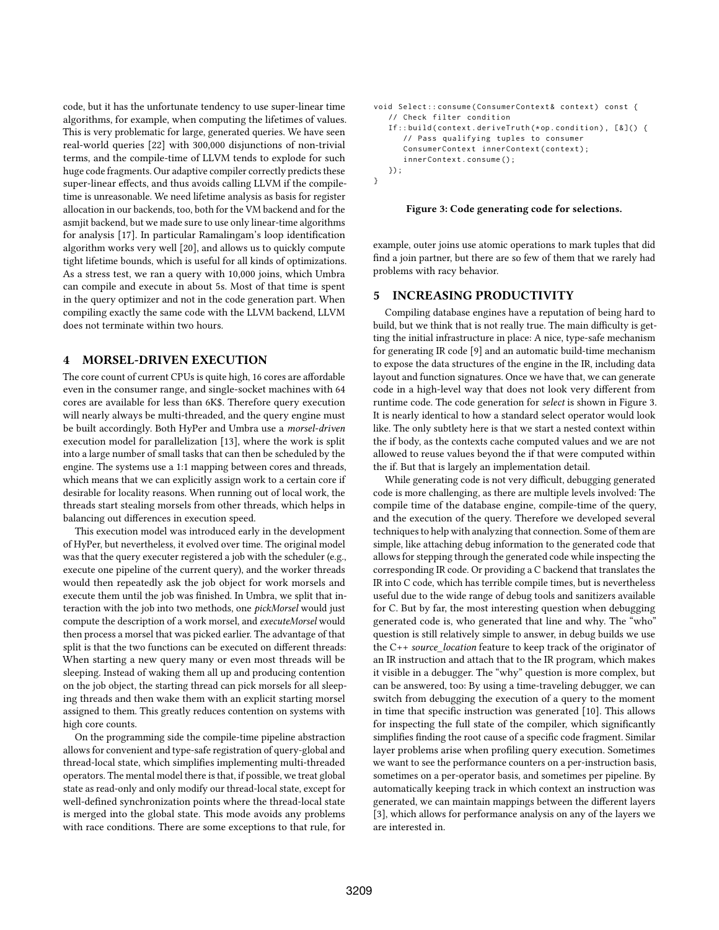code, but it has the unfortunate tendency to use super-linear time algorithms, for example, when computing the lifetimes of values. This is very problematic for large, generated queries. We have seen real-world queries [22] with 300,000 disjunctions of non-trivial terms, and the compile-time of LLVM tends to explode for such huge code fragments. Our adaptive compiler correctly predicts these super-linear effects, and thus avoids calling LLVM if the compiletime is unreasonable. We need lifetime analysis as basis for register allocation in our backends, too, both for the VM backend and for the asmjit backend, but we made sure to use only linear-time algorithms for analysis [17]. In particular Ramalingam's loop identification algorithm works very well [20], and allows us to quickly compute tight lifetime bounds, which is useful for all kinds of optimizations. As a stress test, we ran a query with 10,000 joins, which Umbra can compile and execute in about 5s. Most of that time is spent in the query optimizer and not in the code generation part. When compiling exactly the same code with the LLVM backend, LLVM does not terminate within two hours.

### 4 MORSEL-DRIVEN EXECUTION

The core count of current CPUs is quite high, 16 cores are affordable even in the consumer range, and single-socket machines with 64 cores are available for less than 6K\$. Therefore query execution will nearly always be multi-threaded, and the query engine must be built accordingly. Both HyPer and Umbra use a morsel-driven execution model for parallelization [13], where the work is split into a large number of small tasks that can then be scheduled by the engine. The systems use a 1:1 mapping between cores and threads, which means that we can explicitly assign work to a certain core if desirable for locality reasons. When running out of local work, the threads start stealing morsels from other threads, which helps in balancing out differences in execution speed.

This execution model was introduced early in the development of HyPer, but nevertheless, it evolved over time. The original model was that the query executer registered a job with the scheduler (e.g., execute one pipeline of the current query), and the worker threads would then repeatedly ask the job object for work morsels and execute them until the job was finished. In Umbra, we split that interaction with the job into two methods, one pickMorsel would just compute the description of a work morsel, and executeMorsel would then process a morsel that was picked earlier. The advantage of that split is that the two functions can be executed on different threads: When starting a new query many or even most threads will be sleeping. Instead of waking them all up and producing contention on the job object, the starting thread can pick morsels for all sleeping threads and then wake them with an explicit starting morsel assigned to them. This greatly reduces contention on systems with high core counts.

On the programming side the compile-time pipeline abstraction allows for convenient and type-safe registration of query-global and thread-local state, which simplifies implementing multi-threaded operators. The mental model there is that, if possible, we treat global state as read-only and only modify our thread-local state, except for well-defined synchronization points where the thread-local state is merged into the global state. This mode avoids any problems with race conditions. There are some exceptions to that rule, for

```
void Select:: consume ( ConsumerContext & context ) const {
   // Check filter condition
   If:: build ( context. deriveTruth (*op. condition), [&]() {
      // Pass qualifying tuples to consumer
      ConsumerContext innerContext ( context ) ;
      innerContext . consume () ;
   }) ;
}
```
#### Figure 3: Code generating code for selections.

example, outer joins use atomic operations to mark tuples that did find a join partner, but there are so few of them that we rarely had problems with racy behavior.

# 5 INCREASING PRODUCTIVITY

Compiling database engines have a reputation of being hard to build, but we think that is not really true. The main difficulty is getting the initial infrastructure in place: A nice, type-safe mechanism for generating IR code [9] and an automatic build-time mechanism to expose the data structures of the engine in the IR, including data layout and function signatures. Once we have that, we can generate code in a high-level way that does not look very different from runtime code. The code generation for select is shown in Figure 3. It is nearly identical to how a standard select operator would look like. The only subtlety here is that we start a nested context within the if body, as the contexts cache computed values and we are not allowed to reuse values beyond the if that were computed within the if. But that is largely an implementation detail.

While generating code is not very difficult, debugging generated code is more challenging, as there are multiple levels involved: The compile time of the database engine, compile-time of the query, and the execution of the query. Therefore we developed several techniques to help with analyzing that connection. Some of them are simple, like attaching debug information to the generated code that allows for stepping through the generated code while inspecting the corresponding IR code. Or providing a C backend that translates the IR into C code, which has terrible compile times, but is nevertheless useful due to the wide range of debug tools and sanitizers available for C. But by far, the most interesting question when debugging generated code is, who generated that line and why. The "who" question is still relatively simple to answer, in debug builds we use the C++ source\_location feature to keep track of the originator of an IR instruction and attach that to the IR program, which makes it visible in a debugger. The "why" question is more complex, but can be answered, too: By using a time-traveling debugger, we can switch from debugging the execution of a query to the moment in time that specific instruction was generated [10]. This allows for inspecting the full state of the compiler, which significantly simplifies finding the root cause of a specific code fragment. Similar layer problems arise when profiling query execution. Sometimes we want to see the performance counters on a per-instruction basis, sometimes on a per-operator basis, and sometimes per pipeline. By automatically keeping track in which context an instruction was generated, we can maintain mappings between the different layers [3], which allows for performance analysis on any of the layers we are interested in.